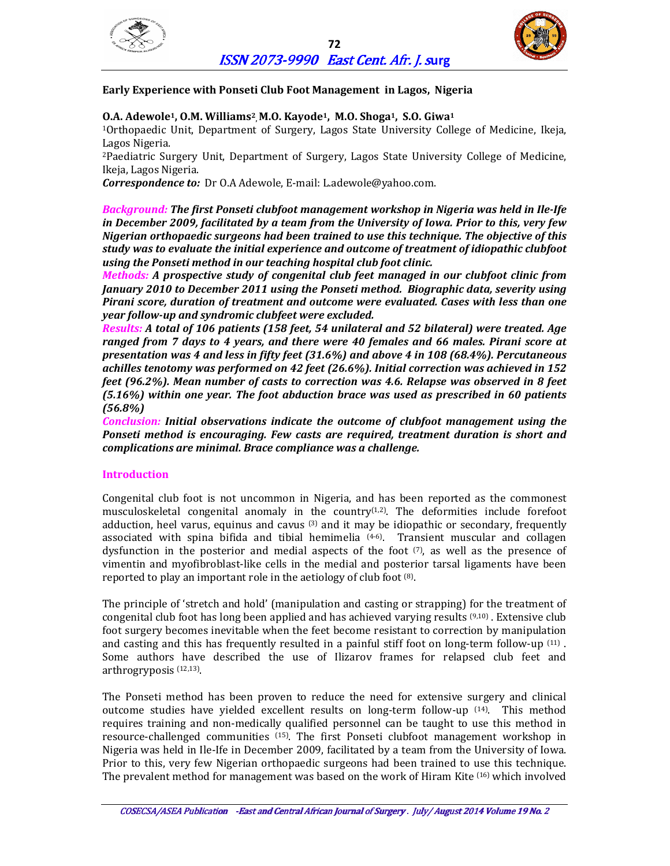



# **Early Experience with Ponseti Club Foot Management in Lagos, Nigeria**

# **O.A. Adewole1, O.M. Williams<sup>2</sup> , M.O. Kayode1, M.O. Shoga1, S.O. Giwa<sup>1</sup>**

<sup>1</sup>Orthopaedic Unit, Department of Surgery, Lagos State University College of Medicine, Ikeja, Lagos Nigeria.

<sup>2</sup>Paediatric Surgery Unit, Department of Surgery, Lagos State University College of Medicine, Ikeja, Lagos Nigeria.

*Correspondence to:* Dr O.A Adewole, E-mail: L.adewole@yahoo.com.

*Background: The first Ponseti clubfoot management workshop in Nigeria was held in Ile-Ife in December 2009, facilitated by a team from the University of Iowa. Prior to this, very few Nigerian orthopaedic surgeons had been trained to use this technique. The objective of this study was to evaluate the initial experience and outcome of treatment of idiopathic clubfoot using the Ponseti method in our teaching hospital club foot clinic.* 

*Methods: A prospective study of congenital club feet managed in our clubfoot clinic from January 2010 to December 2011 using the Ponseti method. Biographic data, severity using Pirani score, duration of treatment and outcome were evaluated. Cases with less than one year follow-up and syndromic clubfeet were excluded.* 

*Results: A total of 106 patients (158 feet, 54 unilateral and 52 bilateral) were treated. Age ranged from 7 days to 4 years, and there were 40 females and 66 males. Pirani score at presentation was 4 and less in fifty feet (31.6%) and above 4 in 108 (68.4%). Percutaneous achilles tenotomy was performed on 42 feet (26.6%). Initial correction was achieved in 152 feet (96.2%). Mean number of casts to correction was 4.6. Relapse was observed in 8 feet (5.16%) within one year. The foot abduction brace was used as prescribed in 60 patients (56.8%)*

*Conclusion: Initial observations indicate the outcome of clubfoot management using the Ponseti method is encouraging. Few casts are required, treatment duration is short and complications are minimal. Brace compliance was a challenge.* 

### **Introduction**

Congenital club foot is not uncommon in Nigeria, and has been reported as the commonest musculoskeletal congenital anomaly in the country(1,2). The deformities include forefoot adduction, heel varus, equinus and cavus  $(3)$  and it may be idiopathic or secondary, frequently associated with spina bifida and tibial hemimelia  $(4-6)$ . Transient muscular and collagen dysfunction in the posterior and medial aspects of the foot  $(7)$ , as well as the presence of vimentin and myofibroblast-like cells in the medial and posterior tarsal ligaments have been reported to play an important role in the aetiology of club foot <sup>(8)</sup>.

The principle of 'stretch and hold' (manipulation and casting or strapping) for the treatment of congenital club foot has long been applied and has achieved varying results (9,10) . Extensive club foot surgery becomes inevitable when the feet become resistant to correction by manipulation and casting and this has frequently resulted in a painful stiff foot on long-term follow-up  $^{(11)}$ . Some authors have described the use of Ilizarov frames for relapsed club feet and arthrogryposis (12,13) .

The Ponseti method has been proven to reduce the need for extensive surgery and clinical outcome studies have yielded excellent results on long-term follow-up (14). This method requires training and non-medically qualified personnel can be taught to use this method in resource-challenged communities (15). The first Ponseti clubfoot management workshop in Nigeria was held in Ile-Ife in December 2009, facilitated by a team from the University of Iowa. Prior to this, very few Nigerian orthopaedic surgeons had been trained to use this technique. The prevalent method for management was based on the work of Hiram Kite (16) which involved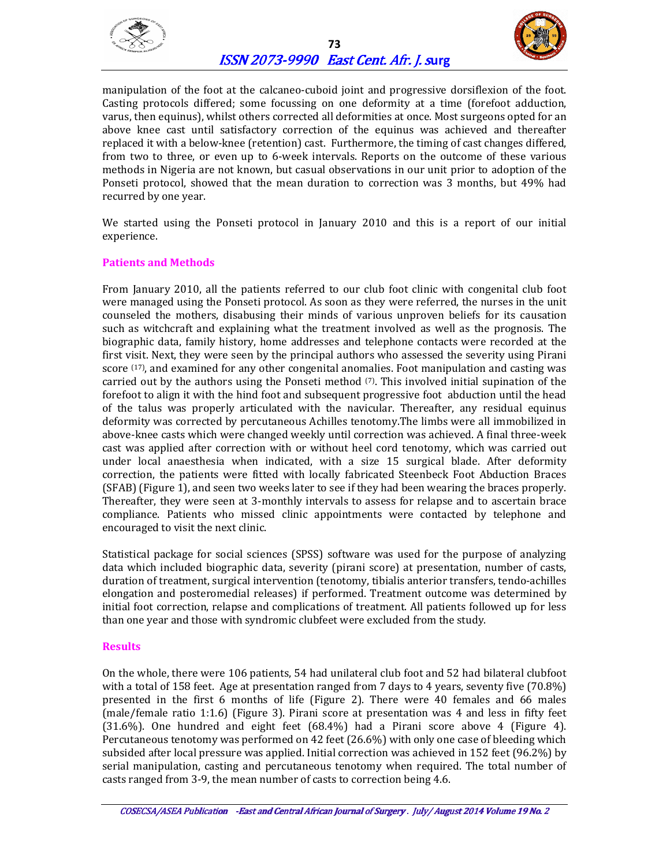



manipulation of the foot at the calcaneo-cuboid joint and progressive dorsiflexion of the foot. Casting protocols differed; some focussing on one deformity at a time (forefoot adduction, varus, then equinus), whilst others corrected all deformities at once. Most surgeons opted for an above knee cast until satisfactory correction of the equinus was achieved and thereafter replaced it with a below-knee (retention) cast. Furthermore, the timing of cast changes differed, from two to three, or even up to 6-week intervals. Reports on the outcome of these various methods in Nigeria are not known, but casual observations in our unit prior to adoption of the Ponseti protocol, showed that the mean duration to correction was 3 months, but 49% had recurred by one year.

We started using the Ponseti protocol in January 2010 and this is a report of our initial experience.

### **Patients and Methods**

From January 2010, all the patients referred to our club foot clinic with congenital club foot were managed using the Ponseti protocol. As soon as they were referred, the nurses in the unit counseled the mothers, disabusing their minds of various unproven beliefs for its causation such as witchcraft and explaining what the treatment involved as well as the prognosis. The biographic data, family history, home addresses and telephone contacts were recorded at the first visit. Next, they were seen by the principal authors who assessed the severity using Pirani score <sup>(17)</sup>, and examined for any other congenital anomalies. Foot manipulation and casting was carried out by the authors using the Ponseti method  $(7)$ . This involved initial supination of the forefoot to align it with the hind foot and subsequent progressive foot abduction until the head of the talus was properly articulated with the navicular. Thereafter, any residual equinus deformity was corrected by percutaneous Achilles tenotomy.The limbs were all immobilized in above-knee casts which were changed weekly until correction was achieved. A final three-week cast was applied after correction with or without heel cord tenotomy, which was carried out under local anaesthesia when indicated, with a size 15 surgical blade. After deformity correction, the patients were fitted with locally fabricated Steenbeck Foot Abduction Braces (SFAB) (Figure 1), and seen two weeks later to see if they had been wearing the braces properly. Thereafter, they were seen at 3-monthly intervals to assess for relapse and to ascertain brace compliance. Patients who missed clinic appointments were contacted by telephone and encouraged to visit the next clinic.

Statistical package for social sciences (SPSS) software was used for the purpose of analyzing data which included biographic data, severity (pirani score) at presentation, number of casts, duration of treatment, surgical intervention (tenotomy, tibialis anterior transfers, tendo-achilles elongation and posteromedial releases) if performed. Treatment outcome was determined by initial foot correction, relapse and complications of treatment. All patients followed up for less than one year and those with syndromic clubfeet were excluded from the study.

### **Results**

On the whole, there were 106 patients, 54 had unilateral club foot and 52 had bilateral clubfoot with a total of 158 feet. Age at presentation ranged from 7 days to 4 years, seventy five (70.8%) presented in the first 6 months of life (Figure 2). There were 40 females and 66 males (male/female ratio 1:1.6) (Figure 3). Pirani score at presentation was 4 and less in fifty feet (31.6%). One hundred and eight feet (68.4%) had a Pirani score above 4 (Figure 4). Percutaneous tenotomy was performed on 42 feet (26.6%) with only one case of bleeding which subsided after local pressure was applied. Initial correction was achieved in 152 feet (96.2%) by serial manipulation, casting and percutaneous tenotomy when required. The total number of casts ranged from 3-9, the mean number of casts to correction being 4.6.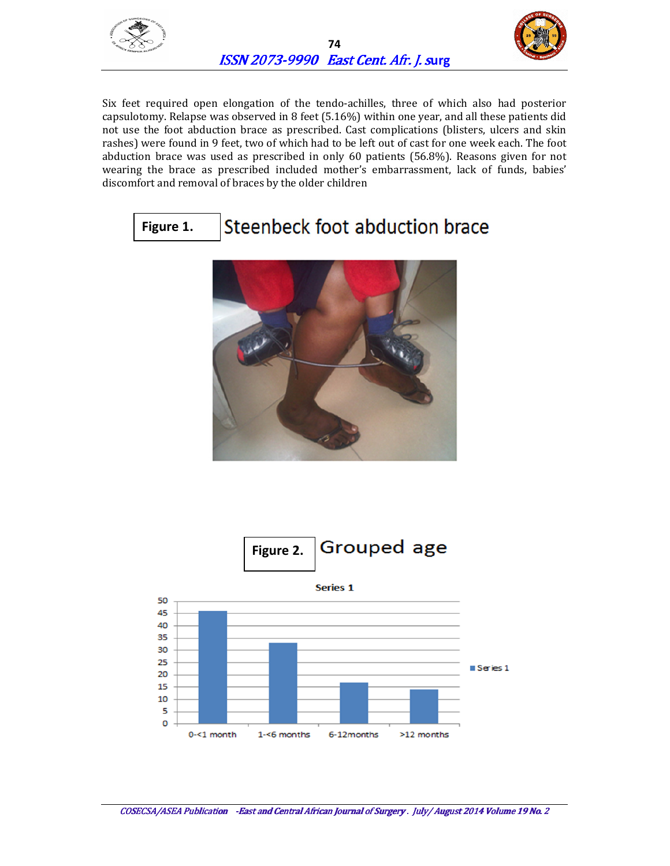



Six feet required open elongation of the tendo-achilles, three of which also had posterior capsulotomy. Relapse was observed in 8 feet (5.16%) within one year, and all these patients did not use the foot abduction brace as prescribed. Cast complications (blisters, ulcers and skin rashes) were found in 9 feet, two of which had to be left out of cast for one week each. The foot abduction brace was used as prescribed in only 60 patients (56.8%). Reasons given for not wearing the brace as prescribed included mother's embarrassment, lack of funds, babies' discomfort and removal of braces by the older children

#### Steenbeck foot abduction brace **Figure 1.**



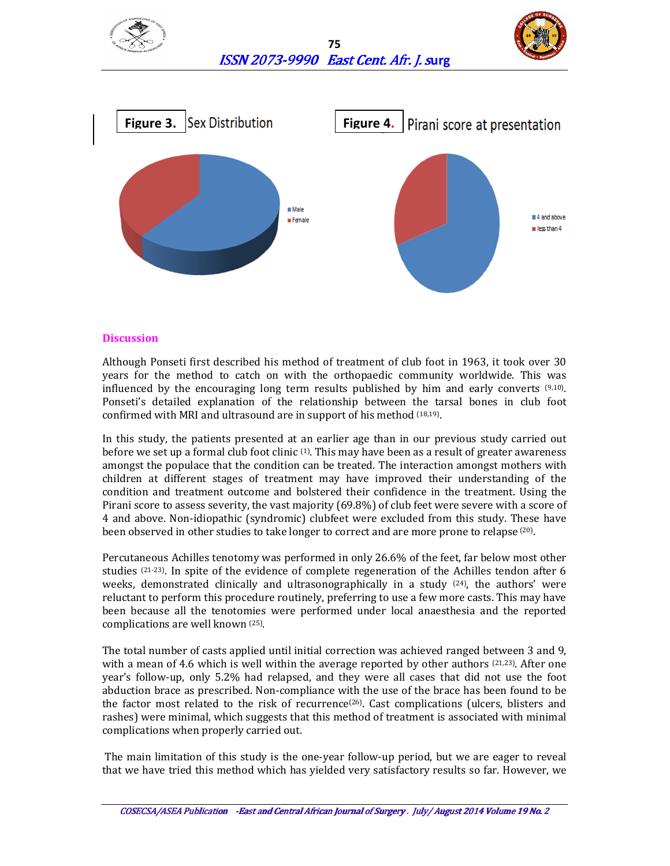





### **Discussion**

Although Ponseti first described his method of treatment of club foot in 1963, it took over 30 years for the method to catch on with the orthopaedic community worldwide. This was influenced by the encouraging long term results published by him and early converts  $(9,10)$ . Ponseti's detailed explanation of the relationship between the tarsal bones in club foot confirmed with MRI and ultrasound are in support of his method (18,19) .

In this study, the patients presented at an earlier age than in our previous study carried out before we set up a formal club foot clinic (1). This may have been as a result of greater awareness amongst the populace that the condition can be treated. The interaction amongst mothers with children at different stages of treatment may have improved their understanding of the condition and treatment outcome and bolstered their confidence in the treatment. Using the Pirani score to assess severity, the vast majority (69.8%) of club feet were severe with a score of 4 and above. Non-idiopathic (syndromic) clubfeet were excluded from this study. These have been observed in other studies to take longer to correct and are more prone to relapse <sup>(20)</sup>.

Percutaneous Achilles tenotomy was performed in only 26.6% of the feet, far below most other studies  $(21-23)$ . In spite of the evidence of complete regeneration of the Achilles tendon after 6 weeks, demonstrated clinically and ultrasonographically in a study  $^{(24)}$ , the authors' were reluctant to perform this procedure routinely, preferring to use a few more casts. This may have been because all the tenotomies were performed under local anaesthesia and the reported complications are well known (25) .

The total number of casts applied until initial correction was achieved ranged between 3 and 9, with a mean of 4.6 which is well within the average reported by other authors  $(21,23)$ . After one year's follow-up, only 5.2% had relapsed, and they were all cases that did not use the foot abduction brace as prescribed. Non-compliance with the use of the brace has been found to be the factor most related to the risk of recurrence<sup>(26)</sup>. Cast complications (ulcers, blisters and rashes) were minimal, which suggests that this method of treatment is associated with minimal complications when properly carried out.

 The main limitation of this study is the one-year follow-up period, but we are eager to reveal that we have tried this method which has yielded very satisfactory results so far. However, we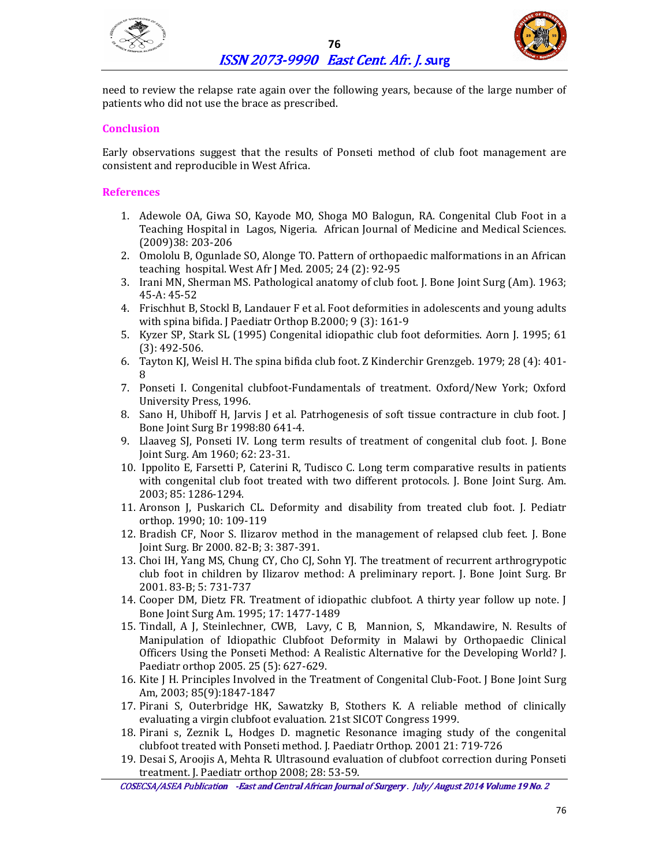



need to review the relapse rate again over the following years, because of the large number of patients who did not use the brace as prescribed.

# **Conclusion**

Early observations suggest that the results of Ponseti method of club foot management are consistent and reproducible in West Africa.

# **References**

- 1. Adewole OA, Giwa SO, Kayode MO, Shoga MO Balogun, RA. Congenital Club Foot in a Teaching Hospital in Lagos, Nigeria. African Journal of Medicine and Medical Sciences. (2009)38: 203-206
- 2. Omololu B, Ogunlade SO, Alonge TO. Pattern of orthopaedic malformations in an African teaching hospital. West Afr J Med. 2005; 24 (2): 92-95
- 3. Irani MN, Sherman MS. Pathological anatomy of club foot. J. Bone Joint Surg (Am). 1963; 45-A: 45-52
- 4. Frischhut B, Stockl B, Landauer F et al. Foot deformities in adolescents and young adults with spina bifida. J Paediatr Orthop B.2000; 9 (3): 161-9
- 5. Kyzer SP, Stark SL (1995) Congenital idiopathic club foot deformities. Aorn J. 1995; 61 (3): 492-506.
- 6. Tayton KJ, Weisl H. The spina bifida club foot. Z Kinderchir Grenzgeb. 1979; 28 (4): 401- 8
- 7. Ponseti I. Congenital clubfoot-Fundamentals of treatment. Oxford/New York; Oxford University Press, 1996.
- 8. Sano H, Uhiboff H, Jarvis J et al. Patrhogenesis of soft tissue contracture in club foot. J Bone Joint Surg Br 1998:80 641-4.
- 9. Llaaveg SJ, Ponseti IV. Long term results of treatment of congenital club foot. J. Bone Joint Surg. Am 1960; 62: 23-31.
- 10. Ippolito E, Farsetti P, Caterini R, Tudisco C. Long term comparative results in patients with congenital club foot treated with two different protocols. J. Bone Joint Surg. Am. 2003; 85: 1286-1294.
- 11. Aronson J, Puskarich CL. Deformity and disability from treated club foot. J. Pediatr orthop. 1990; 10: 109-119
- 12. Bradish CF, Noor S. Ilizarov method in the management of relapsed club feet. J. Bone Joint Surg. Br 2000. 82-B; 3: 387-391.
- 13. Choi IH, Yang MS, Chung CY, Cho CJ, Sohn YJ. The treatment of recurrent arthrogrypotic club foot in children by Ilizarov method: A preliminary report. J. Bone Joint Surg. Br 2001. 83-B; 5: 731-737
- 14. Cooper DM, Dietz FR. Treatment of idiopathic clubfoot. A thirty year follow up note. J Bone Joint Surg Am. 1995; 17: 1477-1489
- 15. Tindall, A J, Steinlechner, CWB, Lavy, C B, Mannion, S, Mkandawire, N. Results of Manipulation of Idiopathic Clubfoot Deformity in Malawi by Orthopaedic Clinical Officers Using the Ponseti Method: A Realistic Alternative for the Developing World? J. Paediatr orthop 2005. 25 (5): 627-629.
- 16. Kite J H. Principles Involved in the Treatment of Congenital Club-Foot. J Bone Joint Surg Am, 2003; 85(9):1847-1847
- 17. Pirani S, Outerbridge HK, Sawatzky B, Stothers K. A reliable method of clinically evaluating a virgin clubfoot evaluation. 21st SICOT Congress 1999.
- 18. Pirani s, Zeznik L, Hodges D. magnetic Resonance imaging study of the congenital clubfoot treated with Ponseti method. J. Paediatr Orthop. 2001 21: 719-726
- 19. Desai S, Aroojis A, Mehta R. Ultrasound evaluation of clubfoot correction during Ponseti treatment. J. Paediatr orthop 2008; 28: 53-59.

COSECSA/ASEA Publication - East and Central African Journal of Surgery . July/ August 2014 Volume 19 No. 2